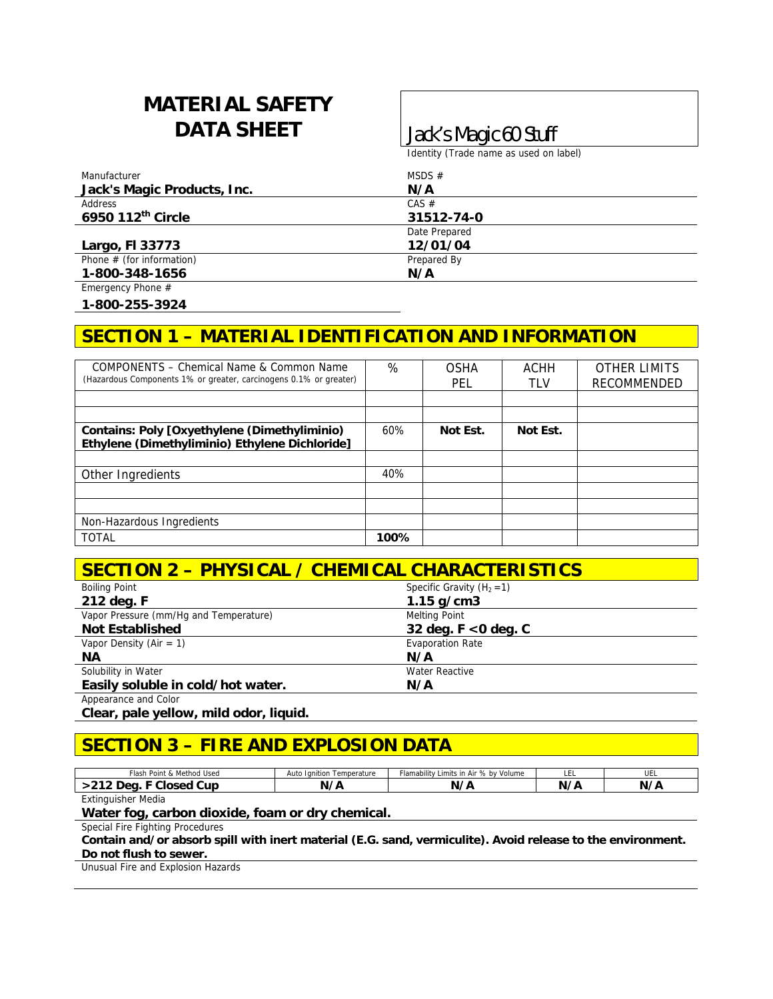# **MATERIAL SAFETY DATA SHEET Jack's Magic 60 Stuff**

Identity (Trade name as used on label)

| Manufacturer                | MSDS $#$      |  |
|-----------------------------|---------------|--|
| Jack's Magic Products, Inc. | N/A           |  |
| Address                     | $CAS \#$      |  |
| 6950 112th Circle           | 31512-74-0    |  |
|                             | Date Prepared |  |
| Largo, FI 33773             | 12/01/04      |  |
| Phone $#$ (for information) | Prepared By   |  |
| 1-800-348-1656              | N/A           |  |
| Emergency Phone $#$         |               |  |

**1-800-255-3924** 

### **SECTION 1 – MATERIAL IDENTIFICATION AND INFORMATION**

| COMPONENTS - Chemical Name & Common Name<br>(Hazardous Components 1% or greater, carcinogens 0.1% or greater) | %    | OSHA<br>PEL | ACHH<br>TLV | <b>OTHER LIMITS</b><br><b>RECOMMENDED</b> |
|---------------------------------------------------------------------------------------------------------------|------|-------------|-------------|-------------------------------------------|
|                                                                                                               |      |             |             |                                           |
|                                                                                                               |      |             |             |                                           |
| Contains: Poly [Oxyethylene (Dimethyliminio)<br>Ethylene (Dimethyliminio) Ethylene Dichloride]                | 60%  | Not Est.    | Not Est.    |                                           |
|                                                                                                               |      |             |             |                                           |
| Other Ingredients                                                                                             | 40%  |             |             |                                           |
|                                                                                                               |      |             |             |                                           |
|                                                                                                               |      |             |             |                                           |
| Non-Hazardous Ingredients                                                                                     |      |             |             |                                           |
| <b>TOTAL</b>                                                                                                  | 100% |             |             |                                           |

#### **SECTION 2 – PHYSICAL / CHEMICAL CHARACTERISTICS**

| <b>Boiling Point</b>                   | Specific Gravity $(H_2 = 1)$ |  |
|----------------------------------------|------------------------------|--|
| 212 deg. F                             | $1.15$ g/cm3                 |  |
| Vapor Pressure (mm/Hq and Temperature) | Melting Point                |  |
| <b>Not Established</b>                 | 32 deg. $F < 0$ deg. $C$     |  |
| Vapor Density (Air = 1)                | <b>Evaporation Rate</b>      |  |
| ΝA                                     | N/A                          |  |
| Solubility in Water                    | <b>Water Reactive</b>        |  |
| Easily soluble in cold/hot water.      | N/A                          |  |
| Appearance and Color                   |                              |  |

**Clear, pale yellow, mild odor, liquid.** 

#### **SECTION 3 – FIRE AND EXPLOSION DATA**

| Flash<br>Point & Method Used | Ignition Temperature<br>Auto | Flamability<br>Limits in Air % by Volume | ᄔ  | UEL        |
|------------------------------|------------------------------|------------------------------------------|----|------------|
| Cur<br>. מ                   |                              | N <sub>2</sub><br>,                      | N۰ | <b>N/4</b> |
| Fuldwardsham Madia           |                              |                                          |    |            |

Extinguisher Media

**Water fog, carbon dioxide, foam or dry chemical.** 

Special Fire Fighting Procedures

**Contain and/or absorb spill with inert material (E.G. sand, vermiculite). Avoid release to the environment.** 

**Do not flush to sewer.** 

Unusual Fire and Explosion Hazards